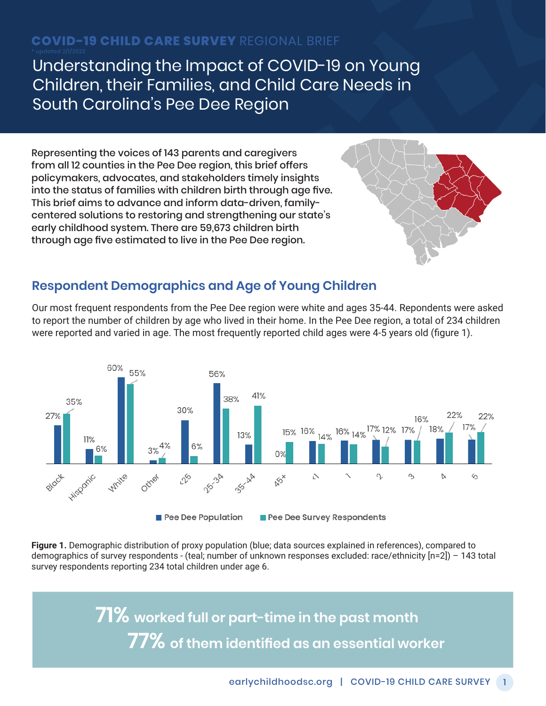# **COVID-19 CHILD CARE SURVEY** REGIONAL BRIEF

Understanding the Impact of COVID-19 on Young Children, their Families, and Child Care Needs in South Carolina's Pee Dee Region

Representing the voices of 143 parents and caregivers from all 12 counties in the Pee Dee region, this brief offers policymakers, advocates, and stakeholders timely insights into the status of families with children birth through age five. This brief aims to advance and inform data-driven, familycentered solutions to restoring and strengthening our state's early childhood system. There are 59,673 children birth through age five estimated to live in the Pee Dee region.



#### **Respondent Demographics and Age of Young Children**

Our most frequent respondents from the Pee Dee region were white and ages 35-44. Repondents were asked to report the number of children by age who lived in their home. In the Pee Dee region, a total of 234 children were reported and varied in age. The most frequently reported child ages were 4-5 years old (figure 1).



**Figure 1.** Demographic distribution of proxy population (blue; data sources explained in references), compared to demographics of survey respondents - (teal; number of unknown responses excluded: race/ethnicity [n=2]) – 143 total survey respondents reporting 234 total children under age 6.

> **71% worked full or part-time in the past month 77% of them identified as an essential worker**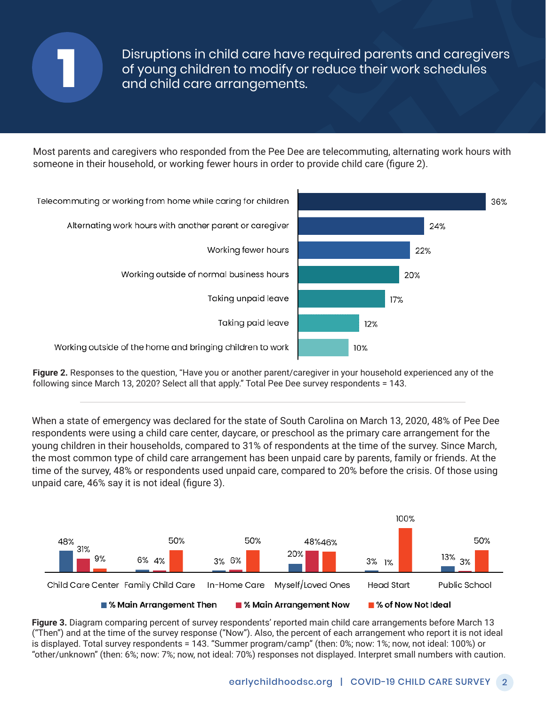

Disruptions in child care have required parents and caregivers of young children to modify or reduce their work schedules and child care arrangements.

Most parents and caregivers who responded from the Pee Dee are telecommuting, alternating work hours with someone in their household, or working fewer hours in order to provide child care (figure 2).



**Figure 2.** Responses to the question, "Have you or another parent/caregiver in your household experienced any of the following since March 13, 2020? Select all that apply." Total Pee Dee survey respondents = 143.

When a state of emergency was declared for the state of South Carolina on March 13, 2020, 48% of Pee Dee respondents were using a child care center, daycare, or preschool as the primary care arrangement for the young children in their households, compared to 31% of respondents at the time of the survey. Since March, the most common type of child care arrangement has been unpaid care by parents, family or friends. At the time of the survey, 48% or respondents used unpaid care, compared to 20% before the crisis. Of those using unpaid care, 46% say it is not ideal (figure 3).



**Figure 3.** Diagram comparing percent of survey respondents' reported main child care arrangements before March 13 ("Then") and at the time of the survey response ("Now"). Also, the percent of each arrangement who report it is not ideal is displayed. Total survey respondents = 143. "Summer program/camp" (then: 0%; now: 1%; now, not ideal: 100%) or "other/unknown" (then: 6%; now: 7%; now, not ideal: 70%) responses not displayed. Interpret small numbers with caution.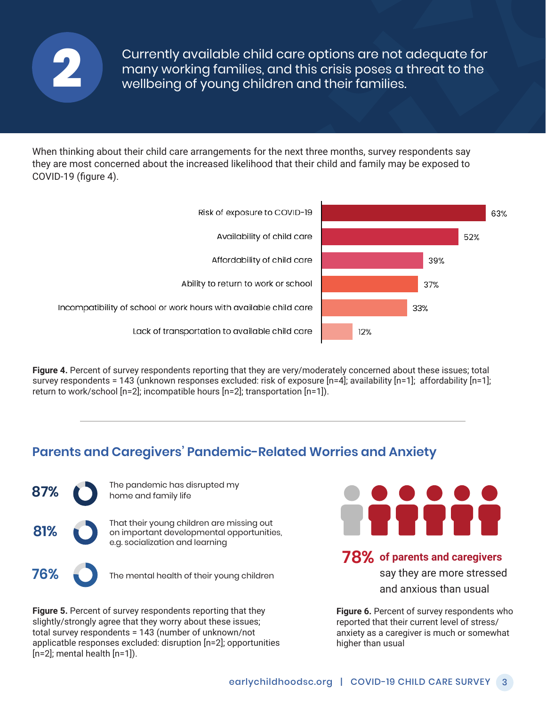

Currently available child care options are not adequate for many working families, and this crisis poses a threat to the **2** wellbeing of young children and their families.

When thinking about their child care arrangements for the next three months, survey respondents say they are most concerned about the increased likelihood that their child and family may be exposed to COVID-19 (figure 4).



**Figure 4.** Percent of survey respondents reporting that they are very/moderately concerned about these issues; total survey respondents = 143 (unknown responses excluded: risk of exposure [n=4]; availability [n=1]; affordability [n=1]; return to work/school [n=2]; incompatible hours [n=2]; transportation [n=1]).

#### **Parents and Caregivers' Pandemic-Related Worries and Anxiety**



**Figure 5.** Percent of survey respondents reporting that they slightly/strongly agree that they worry about these issues; total survey respondents = 143 (number of unknown/not applicatble responses excluded: disruption [n=2]; opportunities [n=2]; mental health [n=1]).



**78% of parents and caregivers** 

say they are more stressed and anxious than usual

**Figure 6.** Percent of survey respondents who reported that their current level of stress/ anxiety as a caregiver is much or somewhat higher than usual